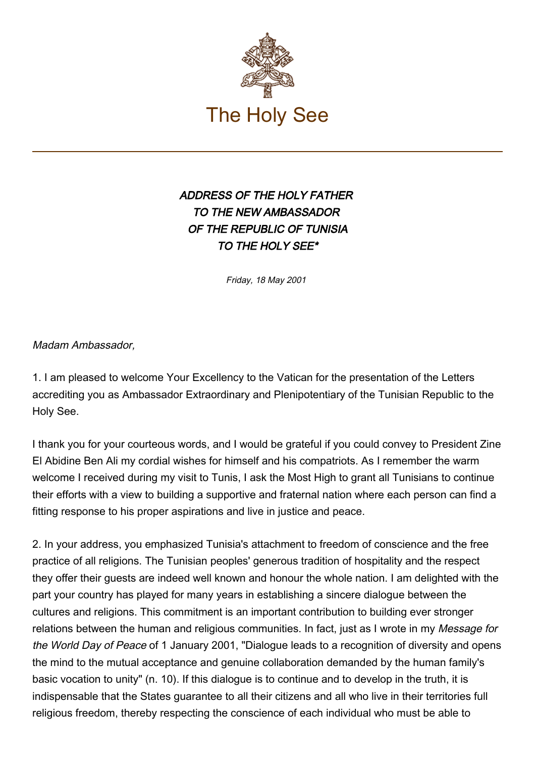

## ADDRESS OF THE HOLY FATHER TO THE NEW AMBASSADOR OF THE REPUBLIC OF TUNISIA TO THE HOLY SEE\*

Friday, 18 May 2001

Madam Ambassador,

1. I am pleased to welcome Your Excellency to the Vatican for the presentation of the Letters accrediting you as Ambassador Extraordinary and Plenipotentiary of the Tunisian Republic to the Holy See.

I thank you for your courteous words, and I would be grateful if you could convey to President Zine El Abidine Ben Ali my cordial wishes for himself and his compatriots. As I remember the warm welcome I received during my visit to Tunis. I ask the Most High to grant all Tunisians to continue their efforts with a view to building a supportive and fraternal nation where each person can find a fitting response to his proper aspirations and live in justice and peace.

2. In your address, you emphasized Tunisia's attachment to freedom of conscience and the free practice of all religions. The Tunisian peoples' generous tradition of hospitality and the respect they offer their guests are indeed well known and honour the whole nation. I am delighted with the part your country has played for many years in establishing a sincere dialogue between the cultures and religions. This commitment is an important contribution to building ever stronger relations between the human and religious communities. In fact, just as I wrote in my Message for the World Day of Peace of 1 January 2001, "Dialogue leads to a recognition of diversity and opens the mind to the mutual acceptance and genuine collaboration demanded by the human family's basic vocation to unity" (n. 10). If this dialogue is to continue and to develop in the truth, it is indispensable that the States guarantee to all their citizens and all who live in their territories full religious freedom, thereby respecting the conscience of each individual who must be able to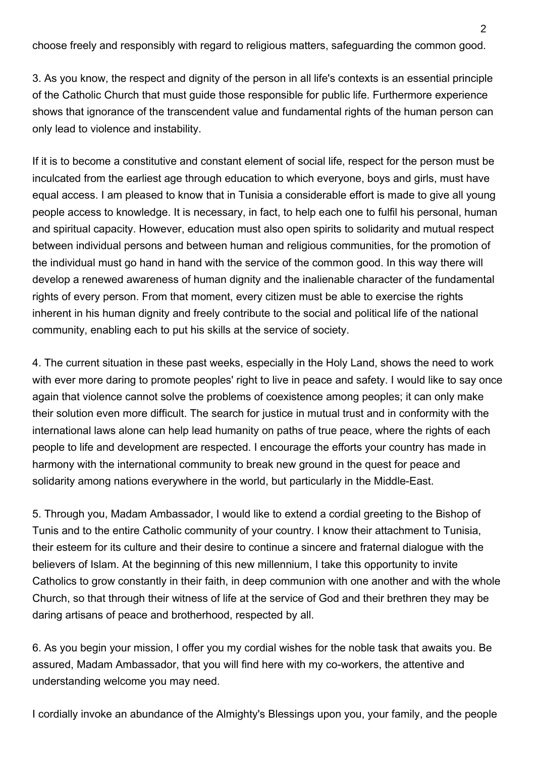choose freely and responsibly with regard to religious matters, safeguarding the common good.

3. As you know, the respect and dignity of the person in all life's contexts is an essential principle of the Catholic Church that must guide those responsible for public life. Furthermore experience shows that ignorance of the transcendent value and fundamental rights of the human person can only lead to violence and instability.

If it is to become a constitutive and constant element of social life, respect for the person must be inculcated from the earliest age through education to which everyone, boys and girls, must have equal access. I am pleased to know that in Tunisia a considerable effort is made to give all young people access to knowledge. It is necessary, in fact, to help each one to fulfil his personal, human and spiritual capacity. However, education must also open spirits to solidarity and mutual respect between individual persons and between human and religious communities, for the promotion of the individual must go hand in hand with the service of the common good. In this way there will develop a renewed awareness of human dignity and the inalienable character of the fundamental rights of every person. From that moment, every citizen must be able to exercise the rights inherent in his human dignity and freely contribute to the social and political life of the national community, enabling each to put his skills at the service of society.

4. The current situation in these past weeks, especially in the Holy Land, shows the need to work with ever more daring to promote peoples' right to live in peace and safety. I would like to say once again that violence cannot solve the problems of coexistence among peoples; it can only make their solution even more difficult. The search for justice in mutual trust and in conformity with the international laws alone can help lead humanity on paths of true peace, where the rights of each people to life and development are respected. I encourage the efforts your country has made in harmony with the international community to break new ground in the quest for peace and solidarity among nations everywhere in the world, but particularly in the Middle-East.

5. Through you, Madam Ambassador, I would like to extend a cordial greeting to the Bishop of Tunis and to the entire Catholic community of your country. I know their attachment to Tunisia, their esteem for its culture and their desire to continue a sincere and fraternal dialogue with the believers of Islam. At the beginning of this new millennium, I take this opportunity to invite Catholics to grow constantly in their faith, in deep communion with one another and with the whole Church, so that through their witness of life at the service of God and their brethren they may be daring artisans of peace and brotherhood, respected by all.

6. As you begin your mission, I offer you my cordial wishes for the noble task that awaits you. Be assured, Madam Ambassador, that you will find here with my co-workers, the attentive and understanding welcome you may need.

I cordially invoke an abundance of the Almighty's Blessings upon you, your family, and the people